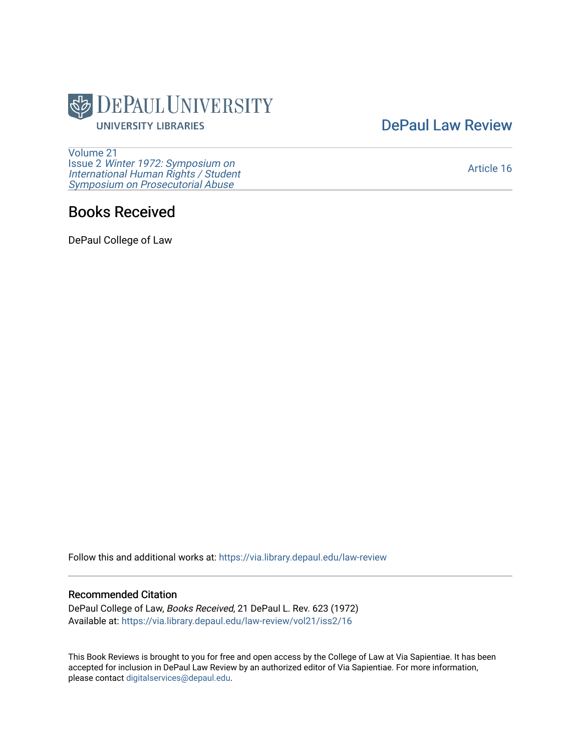

[DePaul Law Review](https://via.library.depaul.edu/law-review) 

[Volume 21](https://via.library.depaul.edu/law-review/vol21) Issue 2 [Winter 1972: Symposium on](https://via.library.depaul.edu/law-review/vol21/iss2) [International Human Rights / Student](https://via.library.depaul.edu/law-review/vol21/iss2) [Symposium on Prosecutorial Abuse](https://via.library.depaul.edu/law-review/vol21/iss2)

## [Article 16](https://via.library.depaul.edu/law-review/vol21/iss2/16)

## Books Received

DePaul College of Law

Follow this and additional works at: [https://via.library.depaul.edu/law-review](https://via.library.depaul.edu/law-review?utm_source=via.library.depaul.edu%2Flaw-review%2Fvol21%2Fiss2%2F16&utm_medium=PDF&utm_campaign=PDFCoverPages) 

## Recommended Citation

DePaul College of Law, Books Received, 21 DePaul L. Rev. 623 (1972) Available at: [https://via.library.depaul.edu/law-review/vol21/iss2/16](https://via.library.depaul.edu/law-review/vol21/iss2/16?utm_source=via.library.depaul.edu%2Flaw-review%2Fvol21%2Fiss2%2F16&utm_medium=PDF&utm_campaign=PDFCoverPages)

This Book Reviews is brought to you for free and open access by the College of Law at Via Sapientiae. It has been accepted for inclusion in DePaul Law Review by an authorized editor of Via Sapientiae. For more information, please contact [digitalservices@depaul.edu.](mailto:digitalservices@depaul.edu)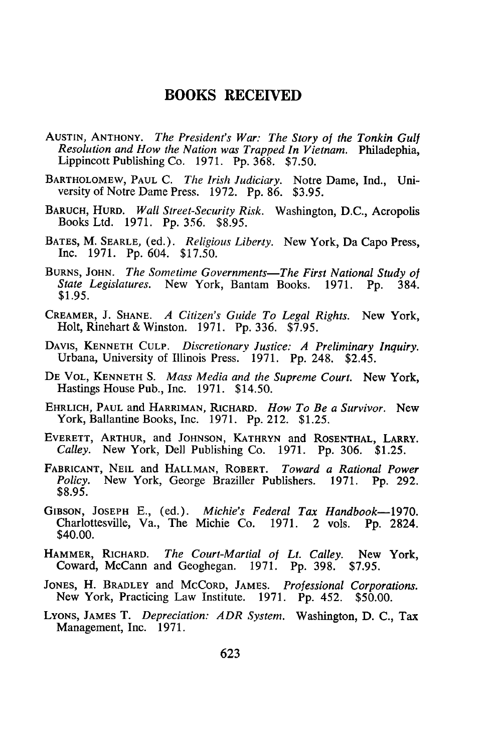## **BOOKS RECEIVED**

- **AUSTIN, ANTHONY.** *The President's War: The Story of the Tonkin Gulf Resolution and How the Nation was Trapped In Vietnam.* Philadephia, Lippincott Publishing Co. 1971. Pp. 368. \$7.50.
- BARTHOLOMEW, **PAUL** C. *The Irish Judiciary.* Notre Dame, Ind., University of Notre Dame Press. 1972. Pp. 86. \$3.95.
- BARUCH, HURD. *Wall Street-Security Risk.* Washington, D.C., Acropolis Books Ltd. 1971. Pp. 356. \$8.95.
- **BATES,** M. SEARLE, (ed.). *Religious Liberty.* New York, Da Capo Press, Inc. 1971. Pp. 604. \$17.50.
- **BURNS, JOHN.** *The Sometime Governments-The First National Study of State Legislatures.* New York, Bantam Books. 1971. Pp. 384. \$1.95.
- CREAMER, J. **SHANE.** *A Citizen's Guide To Legal Rights.* New York, Holt, Rinehart & Winston. 1971. Pp. 336. \$7.95.
- **DAVIS, KENNETH CULP.** *Discretionary Justice: A Preliminary Inquiry.* Urbana, University of Illinois Press. 1971. Pp. 248. \$2.45.
- **DE** VOL, **KENNETH** S. *Mass Media and the Supreme Court.* New York, Hastings House Pub., Inc. 1971. \$14.50.
- EHRLICH, **PAUL** and HARRIMAN, RICHARD. *How To Be a Survivor.* New York, Ballantine Books, Inc. 1971. Pp. 212. \$1.25.
- EVERETT, ARTHUR, and **JOHNSON,** KATHRYN and **ROSENTHAL,** LARRY. *Calley.* New York, Dell Publishing Co. 1971. Pp. 306. \$1.25.
- FABRICANT, **NEIL** and **HALLMAN,** ROBERT. *Toward a Rational Power Policy.* New York, George Braziller Publishers. 1971. Pp. 292. \$8.95.
- **GIBSON, JOSEPH** E., (ed.). *Michie's Federal Tax Handbook-1970.* Charlottesville, Va., The Michie Co. 1971. 2 vols. Pp. 2824. \$40.00.
- HAMMER, RICHARD. *The Court-Martial of Lt. Calley.* New York, Coward, McCann and Geoghegan. 1971. Pp. 398. \$7.95.
- JONES, H. BRADLEY and McCoRD, **JAMES.** *Professional Corporations.* New York, Practicing Law Institute. 1971. Pp. 452. \$50.00.
- **LYONS,** JAMES T. *Depreciation: ADR System.* Washington, D. C., Tax Management, Inc. 1971.